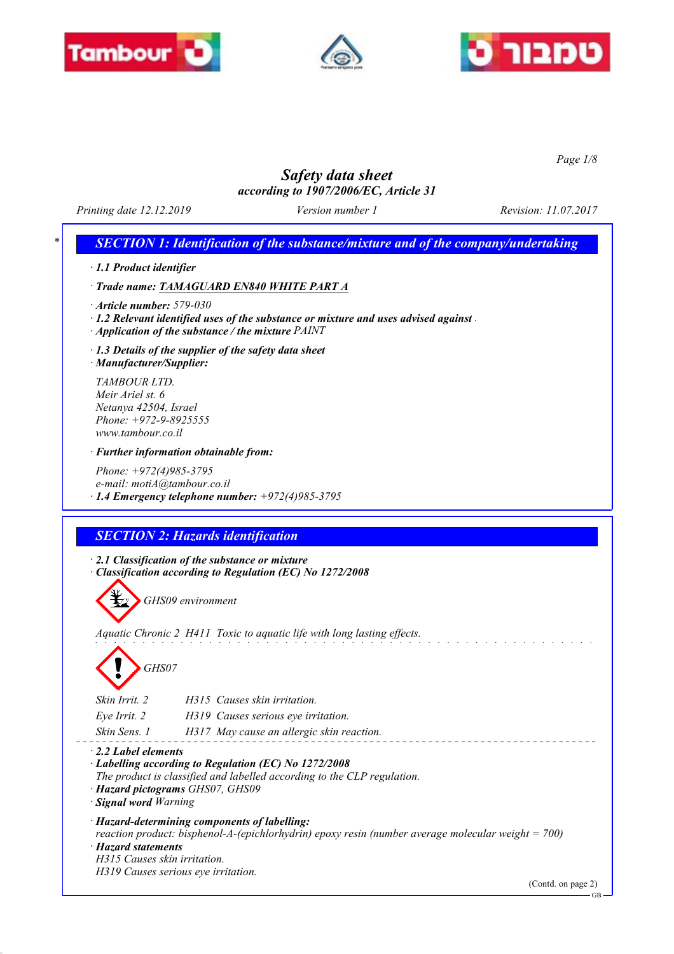





*Page 1/8*

# *Safety data sheet*

*according to 1907/2006/EC, Article 31*

*Printing date 12.12.2019 Version number 1 Revision: 11.07.2017*

# *\* SECTION 1: Identification of the substance/mixture and of the company/undertaking*

*· 1.1 Product identifier*

*· Trade name: TAMAGUARD EN840 WHITE PART A*

*· Article number: 579-030*

*· 1.2 Relevant identified uses of the substance or mixture and uses advised against .* 

*· Application of the substance / the mixture PAINT*

*· 1.3 Details of the supplier of the safety data sheet*

*· Manufacturer/Supplier:*

*TAMBOUR LTD. Meir Ariel st. 6 Netanya 42504, Israel Phone: +972-9-8925555 www.tambour.co.il*

*· Further information obtainable from:*

*Phone: +972(4)985-3795 e-mail: motiA@tambour.co.il · 1.4 Emergency telephone number: +972(4)985-3795*

## *SECTION 2: Hazards identification*

*· 2.1 Classification of the substance or mixture · Classification according to Regulation (EC) No 1272/2008*



*Aquatic Chronic 2 H411 Toxic to aquatic life with long lasting effects.*

*GHS07*

| H315 Causes skin irritation.<br>Skin Irrit. 2             |  |
|-----------------------------------------------------------|--|
| H319 Causes serious eye irritation.<br>Eye Irrit. 2       |  |
| H317 May cause an allergic skin reaction.<br>Skin Sens. 1 |  |

*· 2.2 Label elements*

*· Labelling according to Regulation (EC) No 1272/2008*

*The product is classified and labelled according to the CLP regulation.*

*· Hazard pictograms GHS07, GHS09*

*· Signal word Warning*

*· Hazard-determining components of labelling:*

*reaction product: bisphenol-A-(epichlorhydrin) epoxy resin (number average molecular weight = 700)*

*· Hazard statements*

*H315 Causes skin irritation.*

*H319 Causes serious eye irritation.*

(Contd. on page 2)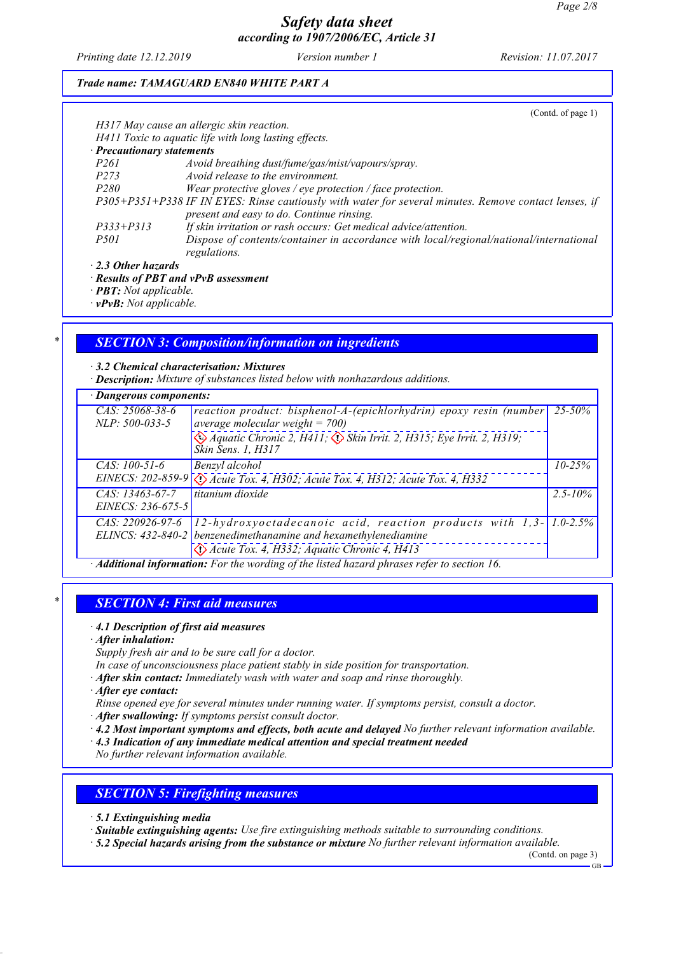*Printing date 12.12.2019 Version number 1 Revision: 11.07.2017*

### *Trade name: TAMAGUARD EN840 WHITE PART A*

|                                                                    | (Cond. of page 1)                                                                                     |
|--------------------------------------------------------------------|-------------------------------------------------------------------------------------------------------|
|                                                                    | H317 May cause an allergic skin reaction.                                                             |
|                                                                    | H411 Toxic to aquatic life with long lasting effects.                                                 |
| $\cdot$ Precautionary statements                                   |                                                                                                       |
| <i>P261</i>                                                        | Avoid breathing dust/fume/gas/mist/vapours/spray.                                                     |
| P273                                                               | Avoid release to the environment.                                                                     |
| <i>P280</i>                                                        | Wear protective gloves / eye protection / face protection.                                            |
|                                                                    | P305+P351+P338 IF IN EYES: Rinse cautiously with water for several minutes. Remove contact lenses, if |
|                                                                    | present and easy to do. Continue rinsing.                                                             |
| $P333 + P313$                                                      | If skin irritation or rash occurs: Get medical advice/attention.                                      |
| <i>P501</i>                                                        | Dispose of contents/container in accordance with local/regional/national/international                |
|                                                                    | regulations.                                                                                          |
| $\cdot$ 2.3 Other hazards                                          |                                                                                                       |
|                                                                    | $\cdot$ Results of PBT and vPvB assessment                                                            |
| $\bf{D} \bf{D} \bf{T}$ , $\bf{M}$ , $\bf{L}$ , $\bf{L}$ , $\bf{L}$ |                                                                                                       |

*· PBT: Not applicable.*

*· vPvB: Not applicable.*

## *\* SECTION 3: Composition/information on ingredients*

*· 3.2 Chemical characterisation: Mixtures*

*· Description: Mixture of substances listed below with nonhazardous additions.*

| · Dangerous components:                                                                                                                                                                                                                                                          |              |
|----------------------------------------------------------------------------------------------------------------------------------------------------------------------------------------------------------------------------------------------------------------------------------|--------------|
| $CAS: 25068-38-6$<br>reaction product: bisphenol-A-(epichlorhydrin) epoxy resin (number<br>average molecular weight = $700$ )<br>$NLP: 500-033-5$<br>$\leftrightarrow$ Aquatic Chronic 2, H411; $\leftrightarrow$ Skin Irrit. 2, H315; Eye Irrit. 2, H319;<br>Skin Sens. 1, H317 | $25 - 50\%$  |
| Benzyl alcohol<br>$CAS: 100-51-6$<br>EINECS: 202-859-9 < <a>(<a> <a> </a> Acute Tox. 4, H302; Acute Tox. 4, H312; Acute Tox. 4, H332</a></a>                                                                                                                                     | $10 - 25\%$  |
| titanium dioxide<br>$CAS: 13463-67-7$<br>EINECS: 236-675-5                                                                                                                                                                                                                       | $2.5 - 10\%$ |
| 12-hydroxyoctadecanoic acid, reaction products with $1,3$ -1.0-2.5%<br>$CAS: 220926-97-6$<br>ELINCS: 432-840-2 benzenedimethanamine and hexamethylenediamine<br>$\langle$ Acute Tox. 4, H332; Aquatic Chronic 4, H413                                                            |              |

*· Additional information: For the wording of the listed hazard phrases refer to section 16.*

## *\* SECTION 4: First aid measures*

#### *· 4.1 Description of first aid measures*

*· After inhalation:*

*Supply fresh air and to be sure call for a doctor.*

*In case of unconsciousness place patient stably in side position for transportation.*

*· After skin contact: Immediately wash with water and soap and rinse thoroughly.*

*· After eye contact:*

*Rinse opened eye for several minutes under running water. If symptoms persist, consult a doctor.*

*· After swallowing: If symptoms persist consult doctor.*

*· 4.2 Most important symptoms and effects, both acute and delayed No further relevant information available.*

*· 4.3 Indication of any immediate medical attention and special treatment needed*

*No further relevant information available.*

### *SECTION 5: Firefighting measures*

*· 5.1 Extinguishing media*

*· Suitable extinguishing agents: Use fire extinguishing methods suitable to surrounding conditions.*

*· 5.2 Special hazards arising from the substance or mixture No further relevant information available.*

(Contd. on page 3)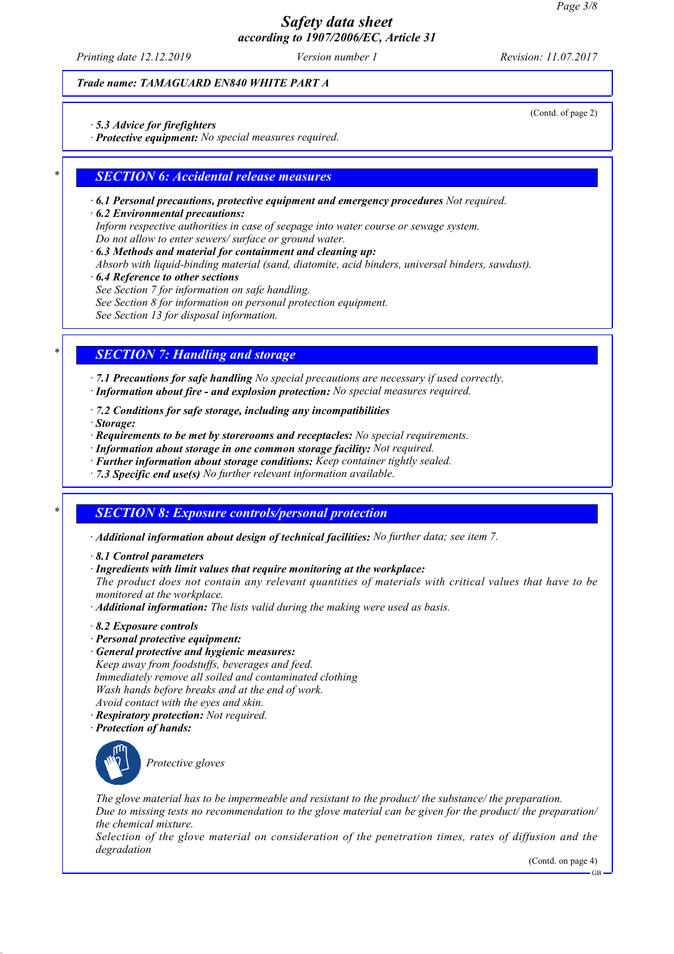*Printing date 12.12.2019 Version number 1 Revision: 11.07.2017*

### *Trade name: TAMAGUARD EN840 WHITE PART A*

*· 5.3 Advice for firefighters*

*· Protective equipment: No special measures required.*

### *\* SECTION 6: Accidental release measures*

- *· 6.1 Personal precautions, protective equipment and emergency procedures Not required.*
- *· 6.2 Environmental precautions:*
- *Inform respective authorities in case of seepage into water course or sewage system.*
- *Do not allow to enter sewers/ surface or ground water.*
- *· 6.3 Methods and material for containment and cleaning up:*
- *Absorb with liquid-binding material (sand, diatomite, acid binders, universal binders, sawdust).*
- *· 6.4 Reference to other sections*
- *See Section 7 for information on safe handling.*
- *See Section 8 for information on personal protection equipment.*
- *See Section 13 for disposal information.*

## *\* SECTION 7: Handling and storage*

*· 7.1 Precautions for safe handling No special precautions are necessary if used correctly. · Information about fire - and explosion protection: No special measures required.*

- *· 7.2 Conditions for safe storage, including any incompatibilities*
- *· Storage:*
- *· Requirements to be met by storerooms and receptacles: No special requirements.*
- *· Information about storage in one common storage facility: Not required.*
- *· Further information about storage conditions: Keep container tightly sealed.*
- *· 7.3 Specific end use(s) No further relevant information available.*

## *\* SECTION 8: Exposure controls/personal protection*

- *· Additional information about design of technical facilities: No further data; see item 7.*
- *· 8.1 Control parameters*
- *· Ingredients with limit values that require monitoring at the workplace:*

*The product does not contain any relevant quantities of materials with critical values that have to be monitored at the workplace.*

- *· Additional information: The lists valid during the making were used as basis.*
- *· 8.2 Exposure controls*
- *· Personal protective equipment:*
- *· General protective and hygienic measures:*
- *Keep away from foodstuffs, beverages and feed. Immediately remove all soiled and contaminated clothing Wash hands before breaks and at the end of work. Avoid contact with the eyes and skin.*
- *· Respiratory protection: Not required.*
- *· Protection of hands:*



*Protective gloves*

*The glove material has to be impermeable and resistant to the product/ the substance/ the preparation. Due to missing tests no recommendation to the glove material can be given for the product/ the preparation/ the chemical mixture.*

*Selection of the glove material on consideration of the penetration times, rates of diffusion and the degradation*

(Contd. on page 4)

GB

(Contd. of page 2)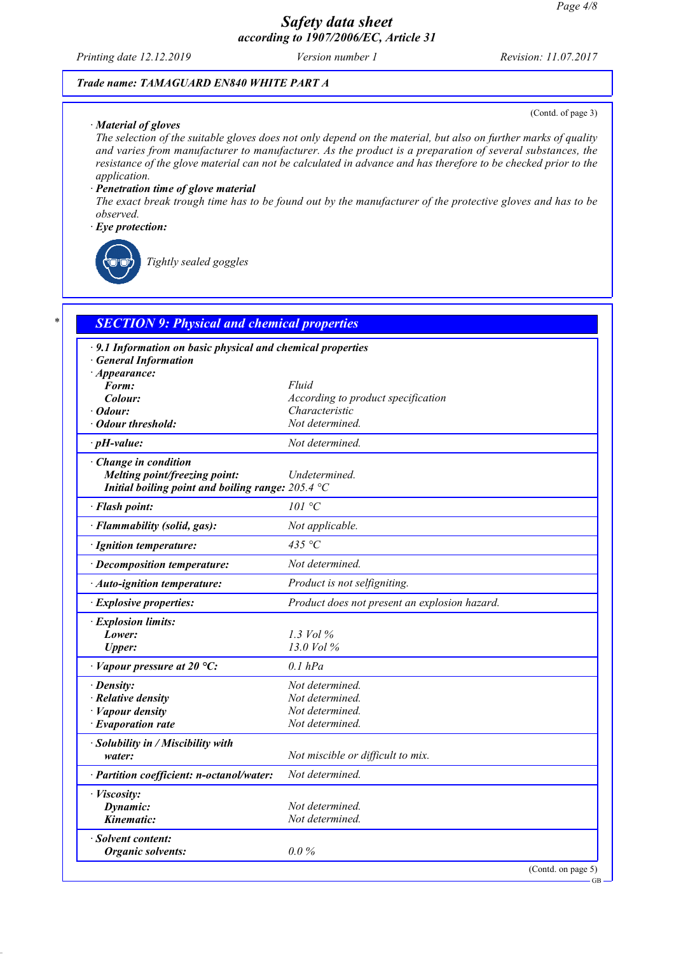*Printing date 12.12.2019 Version number 1 Revision: 11.07.2017*

#### *Trade name: TAMAGUARD EN840 WHITE PART A*

#### *· Material of gloves*

(Contd. of page 3)

*The selection of the suitable gloves does not only depend on the material, but also on further marks of quality and varies from manufacturer to manufacturer. As the product is a preparation of several substances, the resistance of the glove material can not be calculated in advance and has therefore to be checked prior to the application.*

#### *· Penetration time of glove material*

*The exact break trough time has to be found out by the manufacturer of the protective gloves and has to be observed.*

#### *· Eye protection:*



*Tightly sealed goggles*

| · 9.1 Information on basic physical and chemical properties |                                               |
|-------------------------------------------------------------|-----------------------------------------------|
| · General Information                                       |                                               |
| $\cdot$ Appearance:<br>Form:                                | Fluid                                         |
| Colour:                                                     | According to product specification            |
| $\cdot$ Odour:                                              | Characteristic                                |
| <b>Odour threshold:</b>                                     | Not determined.                               |
| $\cdot$ pH-value:                                           | Not determined.                               |
| · Change in condition                                       |                                               |
| Melting point/freezing point:                               | Undetermined.                                 |
| Initial boiling point and boiling range: $205.4 \text{ °C}$ |                                               |
| · Flash point:                                              | 101 °C                                        |
| · Flammability (solid, gas):                                | Not applicable.                               |
| · Ignition temperature:                                     | 435 $\degree$ C                               |
| · Decomposition temperature:                                | Not determined.                               |
| · Auto-ignition temperature:                                | Product is not selfigniting.                  |
| · Explosive properties:                                     | Product does not present an explosion hazard. |
| · Explosion limits:                                         |                                               |
| Lower:                                                      | 1.3 Vol $\%$                                  |
| <b>Upper:</b>                                               | 13.0 Vol %                                    |
| $\cdot$ Vapour pressure at 20 °C:                           | $0.1$ $hPa$                                   |
| · Density:                                                  | Not determined.                               |
| · Relative density                                          | Not determined.                               |
| $\cdot$ <i>Vapour density</i>                               | Not determined.                               |
| $\cdot$ Evaporation rate                                    | Not determined.                               |
| · Solubility in / Miscibility with                          |                                               |
| water:                                                      | Not miscible or difficult to mix.             |
| · Partition coefficient: n-octanol/water:                   | Not determined.                               |
| · Viscosity:                                                |                                               |
| Dynamic:                                                    | Not determined.                               |
| Kinematic:                                                  | Not determined.                               |
| · Solvent content:                                          |                                               |
| <b>Organic solvents:</b>                                    | $0.0\%$                                       |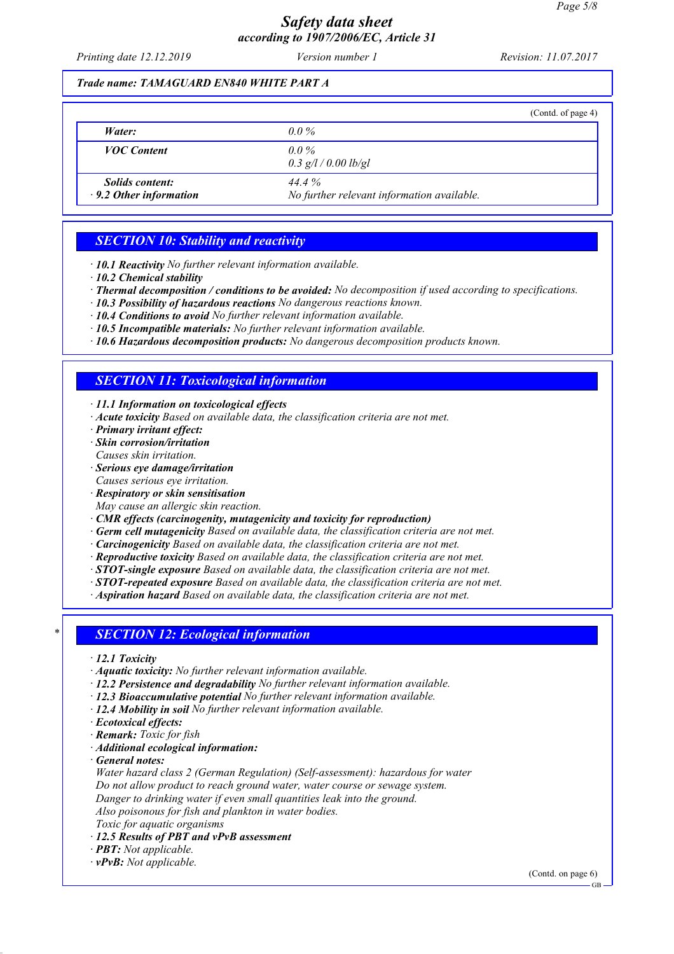*Printing date 12.12.2019 Version number 1 Revision: 11.07.2017*

### *Trade name: TAMAGUARD EN840 WHITE PART A*

|                                                         | (Contd. of page 4)                                    |
|---------------------------------------------------------|-------------------------------------------------------|
| Water:                                                  | $0.0\%$                                               |
| <b>VOC</b> Content                                      | $0.0\%$<br>$0.3$ g/l / 0.00 lb/gl                     |
| <i>Solids content:</i><br>$\cdot$ 9.2 Other information | $444\%$<br>No further relevant information available. |

## *SECTION 10: Stability and reactivity*

*· 10.1 Reactivity No further relevant information available.*

- *· Thermal decomposition / conditions to be avoided: No decomposition if used according to specifications.*
- *· 10.3 Possibility of hazardous reactions No dangerous reactions known.*
- *· 10.4 Conditions to avoid No further relevant information available.*
- *· 10.5 Incompatible materials: No further relevant information available.*
- *· 10.6 Hazardous decomposition products: No dangerous decomposition products known.*

# *SECTION 11: Toxicological information*

*· 11.1 Information on toxicological effects*

- *· Acute toxicity Based on available data, the classification criteria are not met.*
- *· Primary irritant effect:*
- *· Skin corrosion/irritation*
- *Causes skin irritation.*
- *· Serious eye damage/irritation*
- *Causes serious eye irritation.*
- *· Respiratory or skin sensitisation*
- *May cause an allergic skin reaction.*
- *· CMR effects (carcinogenity, mutagenicity and toxicity for reproduction)*
- *· Germ cell mutagenicity Based on available data, the classification criteria are not met.*
- *· Carcinogenicity Based on available data, the classification criteria are not met.*
- *· Reproductive toxicity Based on available data, the classification criteria are not met.*
- *· STOT-single exposure Based on available data, the classification criteria are not met.*
- *· STOT-repeated exposure Based on available data, the classification criteria are not met.*
- *· Aspiration hazard Based on available data, the classification criteria are not met.*

## *\* SECTION 12: Ecological information*

- *· 12.1 Toxicity*
- *· Aquatic toxicity: No further relevant information available.*
- *· 12.2 Persistence and degradability No further relevant information available.*
- *· 12.3 Bioaccumulative potential No further relevant information available.*
- *· 12.4 Mobility in soil No further relevant information available.*
- *· Ecotoxical effects:*
- *· Remark: Toxic for fish*
- *· Additional ecological information:*
- *· General notes:*

*Water hazard class 2 (German Regulation) (Self-assessment): hazardous for water Do not allow product to reach ground water, water course or sewage system.*

*Danger to drinking water if even small quantities leak into the ground.*

*Also poisonous for fish and plankton in water bodies.*

*Toxic for aquatic organisms*

- *· 12.5 Results of PBT and vPvB assessment*
- *· PBT: Not applicable.*
- *· vPvB: Not applicable.*

(Contd. on page 6)

*<sup>·</sup> 10.2 Chemical stability*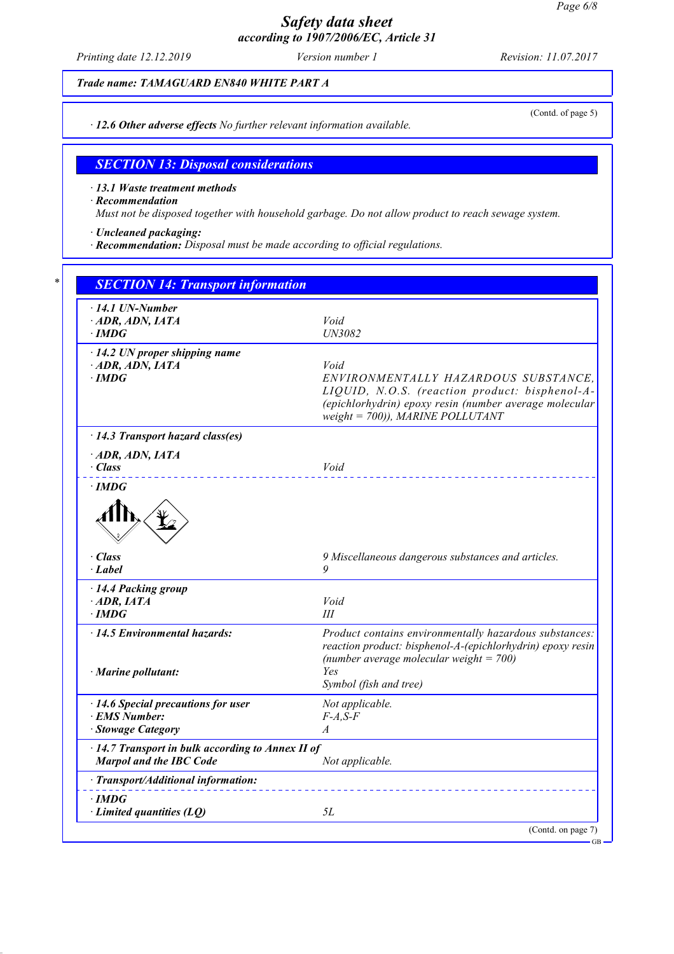*Printing date 12.12.2019 Version number 1 Revision: 11.07.2017*

(Contd. of page 5)

*Trade name: TAMAGUARD EN840 WHITE PART A*

*· 12.6 Other adverse effects No further relevant information available.*

*SECTION 13: Disposal considerations*

*· 13.1 Waste treatment methods*

*· Recommendation*

*Must not be disposed together with household garbage. Do not allow product to reach sewage system.*

*· Uncleaned packaging:*

*· Recommendation: Disposal must be made according to official regulations.*

| $\cdot$ 14.1 UN-Number                                                                                                                                                                                      |                                                                                                                                         |
|-------------------------------------------------------------------------------------------------------------------------------------------------------------------------------------------------------------|-----------------------------------------------------------------------------------------------------------------------------------------|
| $\cdot$ ADR, ADN, IATA                                                                                                                                                                                      | Void                                                                                                                                    |
| $\cdot$ IMDG                                                                                                                                                                                                | UN3082                                                                                                                                  |
|                                                                                                                                                                                                             |                                                                                                                                         |
| $\cdot$ 14.2 UN proper shipping name                                                                                                                                                                        |                                                                                                                                         |
| $\cdot$ ADR, ADN, IATA                                                                                                                                                                                      | Void                                                                                                                                    |
| $\cdot$ IMDG                                                                                                                                                                                                | ENVIRONMENTALLY HAZARDOUS SUBSTANCE,                                                                                                    |
|                                                                                                                                                                                                             | LIQUID, N.O.S. (reaction product: bisphenol-A-                                                                                          |
|                                                                                                                                                                                                             | (epichlorhydrin) epoxy resin (number average molecular                                                                                  |
|                                                                                                                                                                                                             | weight = $700$ )), MARINE POLLUTANT                                                                                                     |
| · 14.3 Transport hazard class(es)                                                                                                                                                                           |                                                                                                                                         |
| $\cdot$ ADR, ADN, IATA                                                                                                                                                                                      |                                                                                                                                         |
| $\cdot$ Class                                                                                                                                                                                               | Void                                                                                                                                    |
| $\cdot$ IMDG                                                                                                                                                                                                |                                                                                                                                         |
|                                                                                                                                                                                                             |                                                                                                                                         |
| · Class                                                                                                                                                                                                     | 9 Miscellaneous dangerous substances and articles.<br>9                                                                                 |
| · Label                                                                                                                                                                                                     |                                                                                                                                         |
|                                                                                                                                                                                                             |                                                                                                                                         |
|                                                                                                                                                                                                             |                                                                                                                                         |
|                                                                                                                                                                                                             | Void                                                                                                                                    |
|                                                                                                                                                                                                             | III                                                                                                                                     |
|                                                                                                                                                                                                             |                                                                                                                                         |
|                                                                                                                                                                                                             |                                                                                                                                         |
|                                                                                                                                                                                                             | (number average molecular weight = $700$ )                                                                                              |
|                                                                                                                                                                                                             | Yes                                                                                                                                     |
|                                                                                                                                                                                                             | Symbol (fish and tree)                                                                                                                  |
|                                                                                                                                                                                                             | Not applicable.                                                                                                                         |
|                                                                                                                                                                                                             | $F-A, S-F$                                                                                                                              |
|                                                                                                                                                                                                             | $\overline{A}$                                                                                                                          |
| · 14.4 Packing group<br>$\cdot$ ADR, IATA<br>$\cdot$ IMDG<br>$\cdot$ 14.5 Environmental hazards:<br>· Marine pollutant:<br>$\cdot$ 14.6 Special precautions for user<br>· EMS Number:<br>· Stowage Category |                                                                                                                                         |
| Marpol and the IBC Code                                                                                                                                                                                     | Product contains environmentally hazardous substances:<br>reaction product: bisphenol-A-(epichlorhydrin) epoxy resin<br>Not applicable. |
| · 14.7 Transport in bulk according to Annex II of<br>· Transport/Additional information:                                                                                                                    |                                                                                                                                         |
| $\cdot$ IMDG                                                                                                                                                                                                |                                                                                                                                         |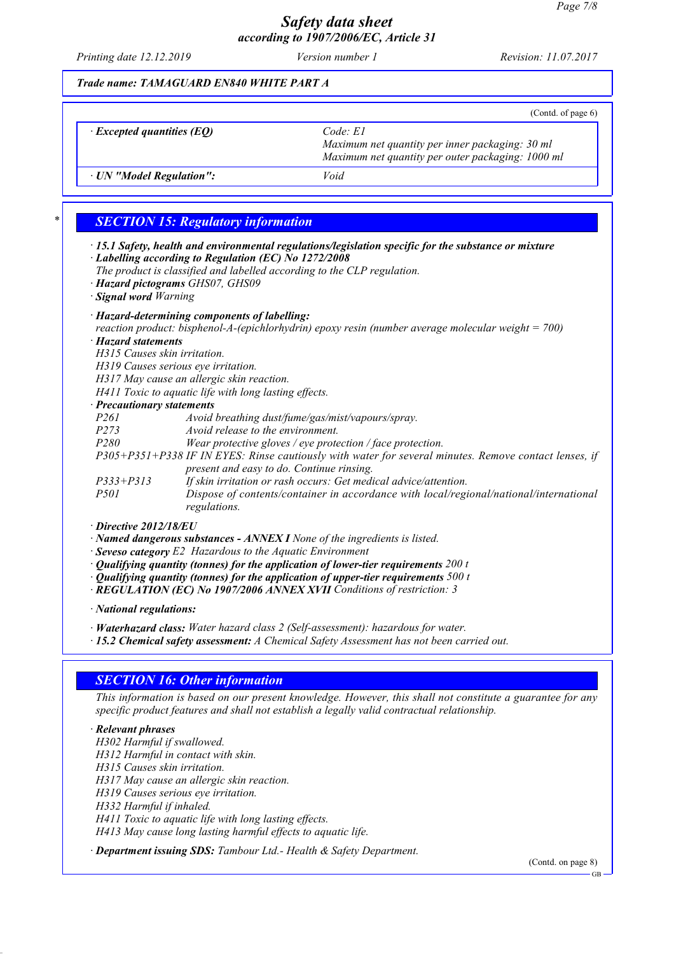*Printing date 12.12.2019 Version number 1 Revision: 11.07.2017*

### *Trade name: TAMAGUARD EN840 WHITE PART A*

|                                  | (Contd. of page $6$ )                                                                                               |
|----------------------------------|---------------------------------------------------------------------------------------------------------------------|
| $\cdot$ Excepted quantities (EQ) | $Code$ $El$<br>Maximum net quantity per inner packaging: 30 ml<br>Maximum net quantity per outer packaging: 1000 ml |
| · UN "Model Regulation":         | Void                                                                                                                |

## *\* SECTION 15: Regulatory information*

- *· 15.1 Safety, health and environmental regulations/legislation specific for the substance or mixture · Labelling according to Regulation (EC) No 1272/2008*
- *The product is classified and labelled according to the CLP regulation.*
- *· Hazard pictograms GHS07, GHS09*

*· Signal word Warning*

## *· Hazard-determining components of labelling:*

*reaction product: bisphenol-A-(epichlorhydrin) epoxy resin (number average molecular weight = 700)*

## *· Hazard statements*

*H315 Causes skin irritation.*

*H319 Causes serious eye irritation.*

*H317 May cause an allergic skin reaction.*

*H411 Toxic to aquatic life with long lasting effects.*

*regulations.*

### *· Precautionary statements*

| <b>Precautionary statements</b> |                                                                                                       |
|---------------------------------|-------------------------------------------------------------------------------------------------------|
| <i>P261</i>                     | Avoid breathing dust/fume/gas/mist/vapours/spray.                                                     |
| P273                            | Avoid release to the environment.                                                                     |
| <i>P280</i>                     | Wear protective gloves / eye protection / face protection.                                            |
|                                 | P305+P351+P338 IF IN EYES: Rinse cautiously with water for several minutes. Remove contact lenses, if |
|                                 | present and easy to do. Continue rinsing.                                                             |
| $P333 + P313$                   | If skin irritation or rash occurs: Get medical advice/attention.                                      |
| <i>P501</i>                     | Dispose of contents/container in accordance with local/regional/national/international                |

#### *· Directive 2012/18/EU*

*· Named dangerous substances - ANNEX I None of the ingredients is listed.*

- *· Seveso category E2 Hazardous to the Aquatic Environment*
- *· Qualifying quantity (tonnes) for the application of lower-tier requirements 200 t*
- *· Qualifying quantity (tonnes) for the application of upper-tier requirements 500 t*
- *· REGULATION (EC) No 1907/2006 ANNEX XVII Conditions of restriction: 3*

*· National regulations:*

*· Waterhazard class: Water hazard class 2 (Self-assessment): hazardous for water.*

*· 15.2 Chemical safety assessment: A Chemical Safety Assessment has not been carried out.*

# *SECTION 16: Other information*

*This information is based on our present knowledge. However, this shall not constitute a guarantee for any specific product features and shall not establish a legally valid contractual relationship.*

### *· Relevant phrases*

*H302 Harmful if swallowed. H312 Harmful in contact with skin.*

*H315 Causes skin irritation.*

*H317 May cause an allergic skin reaction.*

*H319 Causes serious eye irritation.*

*H332 Harmful if inhaled.*

*H411 Toxic to aquatic life with long lasting effects. H413 May cause long lasting harmful effects to aquatic life.*

*· Department issuing SDS: Tambour Ltd.- Health & Safety Department.*

(Contd. on page 8)